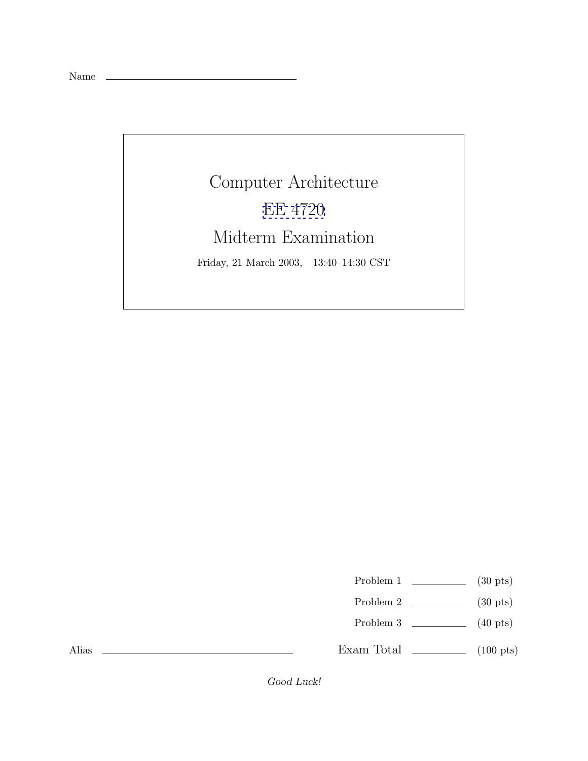Name

## Computer Architecture [EE 4720](http://www.ece.lsu.edu/ee4720/) Midterm Examination Friday, 21 March 2003, 13:40–14:30 CST

Problem 1  $\qquad \qquad$  (30 pts)

- Problem 2 (30 pts)
- Problem 3 (40 pts)

Exam Total  $\qquad \qquad$  (100 pts)

Alias

*Good Luck!*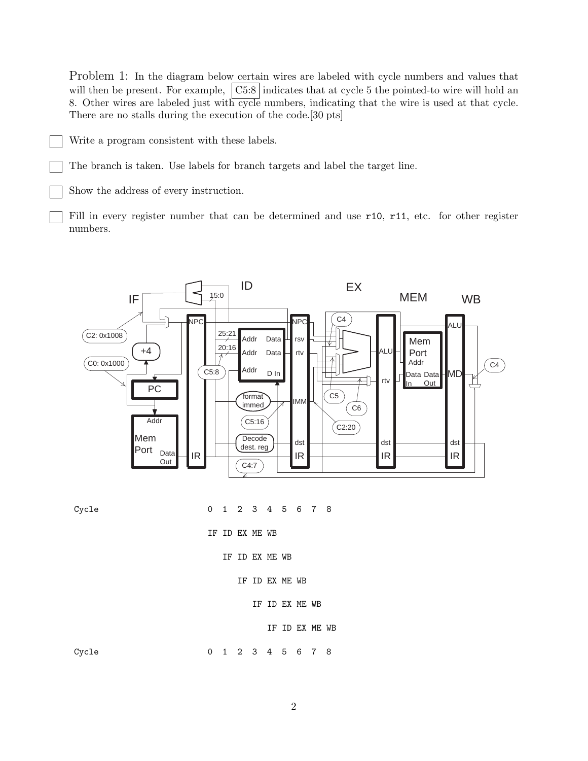Problem 1: In the diagram below certain wires are labeled with cycle numbers and values that will then be present. For example,  $\vert$  C5:8 indicates that at cycle 5 the pointed-to wire will hold an 8. Other wires are labeled just with cycle numbers, indicating that the wire is used at that cycle. There are no stalls during the execution of the code.[30 pts]

Write a program consistent with these labels.

The branch is taken. Use labels for branch targets and label the target line.

Show the address of every instruction.

Fill in every register number that can be determined and use r10, r11, etc. for other register numbers.



Cycle 0 1 2 3 4 5 6 7 8

IF ID EX ME WB

IF ID EX ME WB

- IF ID EX ME WB
	- IF ID EX ME WB

IF ID EX ME WB

Cycle 0 1 2 3 4 5 6 7 8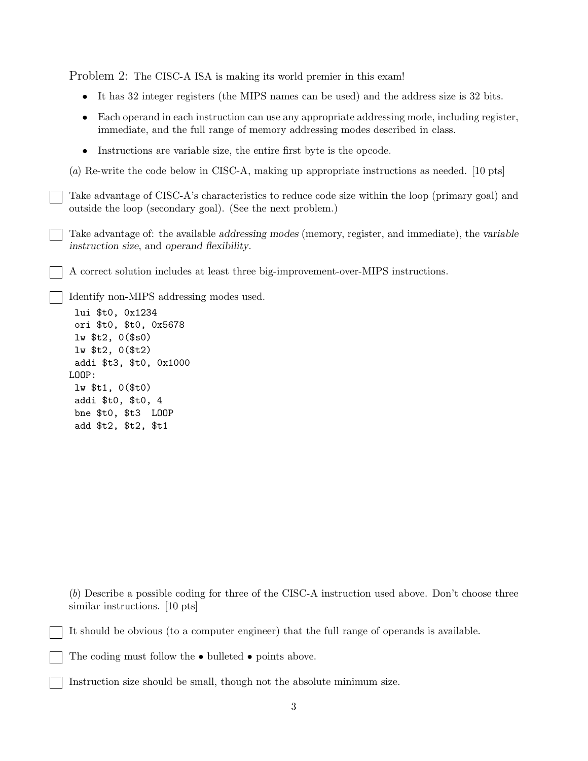Problem 2: The CISC-A ISA is making its world premier in this exam!

- It has 32 integer registers (the MIPS names can be used) and the address size is 32 bits.
- Each operand in each instruction can use any appropriate addressing mode, including register, immediate, and the full range of memory addressing modes described in class.
- Instructions are variable size, the entire first byte is the opcode.

(*a*) Re-write the code below in CISC-A, making up appropriate instructions as needed. [10 pts]

Take advantage of CISC-A's characteristics to reduce code size within the loop (primary goal) and outside the loop (secondary goal). (See the next problem.)

Take advantage of: the available *addressing modes* (memory, register, and immediate), the *variable instruction size*, and *operand flexibility*.

A correct solution includes at least three big-improvement-over-MIPS instructions.

Identify non-MIPS addressing modes used.

lui \$t0, 0x1234 ori \$t0, \$t0, 0x5678 lw \$t2, 0(\$s0) lw \$t2, 0(\$t2) addi \$t3, \$t0, 0x1000 LOOP: lw \$t1, 0(\$t0) addi \$t0, \$t0, 4 bne \$t0, \$t3 LOOP add \$t2, \$t2, \$t1

(*b*) Describe a possible coding for three of the CISC-A instruction used above. Don't choose three similar instructions. [10 pts]

It should be obvious (to a computer engineer) that the full range of operands is available.

The coding must follow the • bulleted • points above.

Instruction size should be small, though not the absolute minimum size.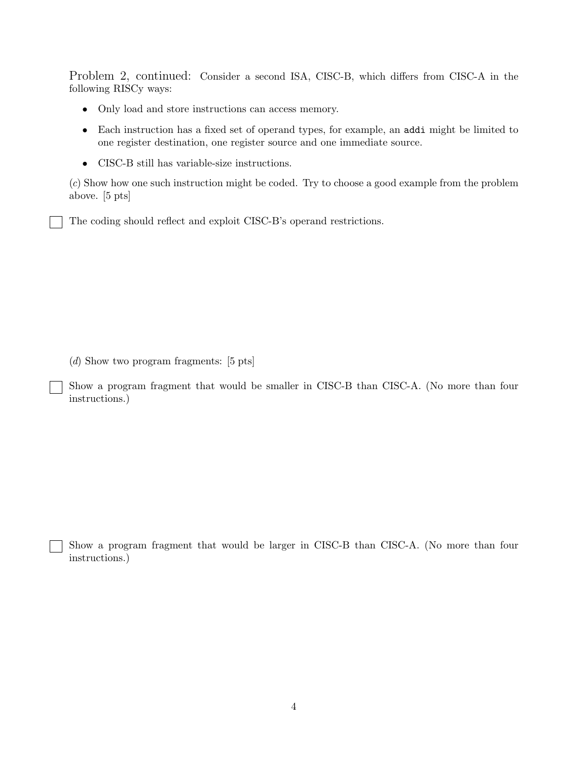Problem 2, continued: Consider a second ISA, CISC-B, which differs from CISC-A in the following RISCy ways:

- Only load and store instructions can access memory.
- Each instruction has a fixed set of operand types, for example, an addi might be limited to one register destination, one register source and one immediate source.
- CISC-B still has variable-size instructions.

(*c*) Show how one such instruction might be coded. Try to choose a good example from the problem above. [5 pts]

The coding should reflect and exploit CISC-B's operand restrictions.

(*d*) Show two program fragments: [5 pts]

Show a program fragment that would be smaller in CISC-B than CISC-A. (No more than four instructions.)

Show a program fragment that would be larger in CISC-B than CISC-A. (No more than four instructions.)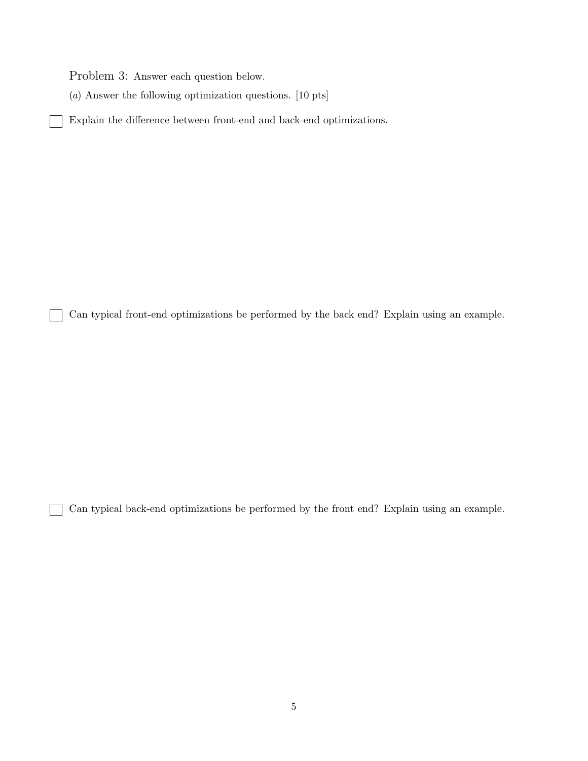Problem 3: Answer each question below.

(*a*) Answer the following optimization questions. [10 pts]

Explain the difference between front-end and back-end optimizations.

Can typical front-end optimizations be performed by the back end? Explain using an example.

Can typical back-end optimizations be performed by the front end? Explain using an example.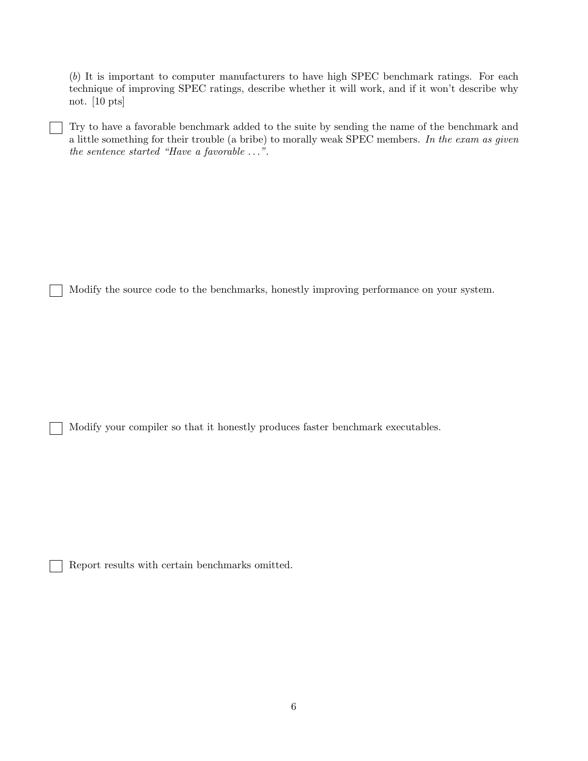(*b*) It is important to computer manufacturers to have high SPEC benchmark ratings. For each technique of improving SPEC ratings, describe whether it will work, and if it won't describe why not. [10 pts]

Try to have a favorable benchmark added to the suite by sending the name of the benchmark and a little something for their trouble (a bribe) to morally weak SPEC members. *In the exam as given the sentence started "Have a favorable* ...*".*

Modify the source code to the benchmarks, honestly improving performance on your system.

Modify your compiler so that it honestly produces faster benchmark executables.

Report results with certain benchmarks omitted.